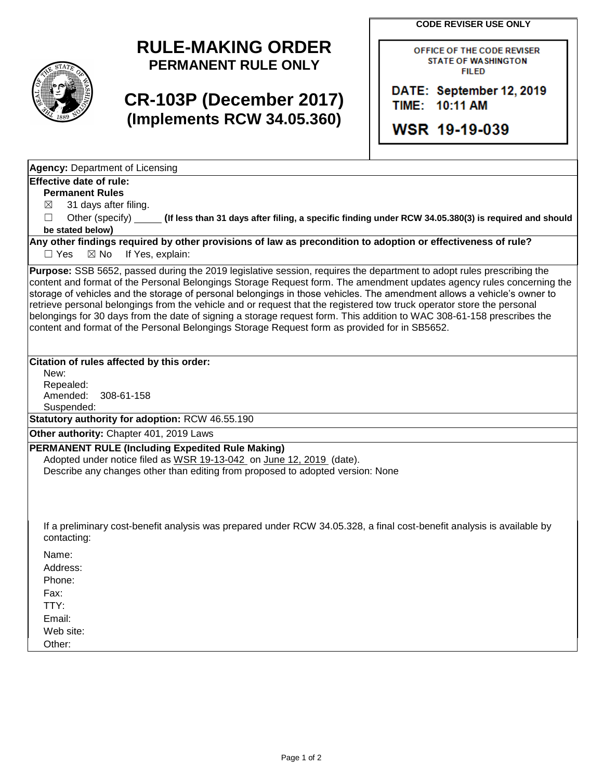**CODE REVISER USE ONLY**



## **RULE-MAKING ORDER PERMANENT RULE ONLY**

## **CR-103P (December 2017) (Implements RCW 34.05.360)**

OFFICE OF THE CODE REVISER **STATE OF WASHINGTON FILED** 

DATE: September 12, 2019 TIME: 10:11 AM

WSR 19-19-039

**Agency:** Department of Licensing

## **Effective date of rule:**

**Permanent Rules**

 $\boxtimes$  31 days after filing.

☐ Other (specify) **(If less than 31 days after filing, a specific finding under RCW 34.05.380(3) is required and should be stated below)**

**Any other findings required by other provisions of law as precondition to adoption or effectiveness of rule?** □ Yes ⊠ No If Yes, explain:

**Purpose:** SSB 5652, passed during the 2019 legislative session, requires the department to adopt rules prescribing the content and format of the Personal Belongings Storage Request form. The amendment updates agency rules concerning the storage of vehicles and the storage of personal belongings in those vehicles. The amendment allows a vehicle's owner to retrieve personal belongings from the vehicle and or request that the registered tow truck operator store the personal belongings for 30 days from the date of signing a storage request form. This addition to WAC 308-61-158 prescribes the content and format of the Personal Belongings Storage Request form as provided for in SB5652.

## **Citation of rules affected by this order:**

New: Repealed: Amended: 308-61-158 Suspended:

**Statutory authority for adoption:** RCW 46.55.190

**Other authority:** Chapter 401, 2019 Laws

**PERMANENT RULE (Including Expedited Rule Making)** Adopted under notice filed as WSR 19-13-042 on June 12, 2019 (date). Describe any changes other than editing from proposed to adopted version: None

If a preliminary cost-benefit analysis was prepared under RCW 34.05.328, a final cost-benefit analysis is available by contacting:

Name: Address: Phone: Fax: TTY: Email: Web site: Other: